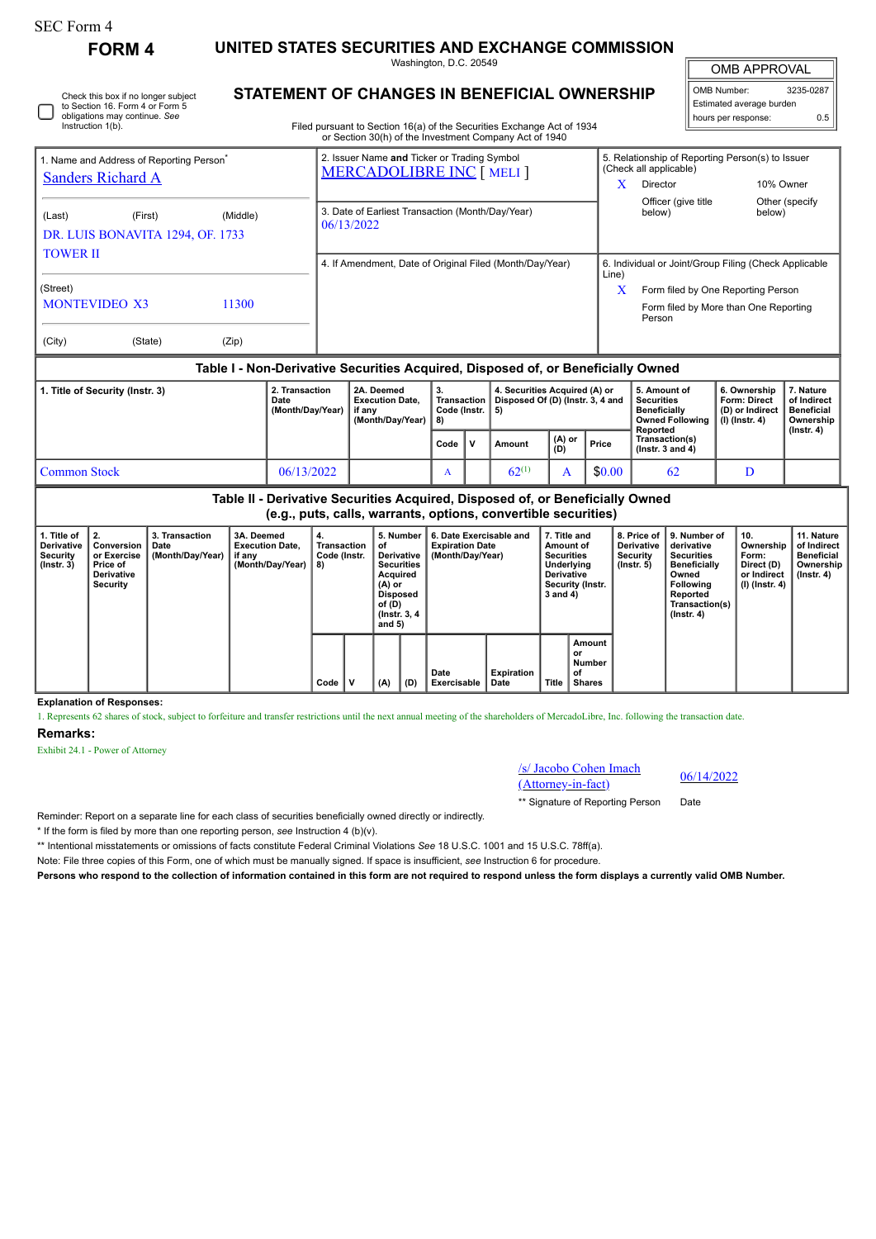# SEC Form 4

 $\Box$ 

Check this box if no longer subject to Section 16. Form 4 or Form 5

**FORM 4 UNITED STATES SECURITIES AND EXCHANGE COMMISSION**

Washington, D.C. 20549 **STATEMENT OF CHANGES IN BENEFICIAL OWNERSHIP**

| <b>OMB APPROVAL</b> |           |  |  |  |  |  |  |  |  |
|---------------------|-----------|--|--|--|--|--|--|--|--|
| OMB Number:         | 3235-0287 |  |  |  |  |  |  |  |  |

Estimated average burden hours per response: 0.5

| obligations may continue. See<br>Instruction 1(b).                               |         |          | Filed pursuant to Section 16(a) of the Securities Exchange Act of 1934          |                                                                |                                    | hours per response:                              | 0.5                       |  |
|----------------------------------------------------------------------------------|---------|----------|---------------------------------------------------------------------------------|----------------------------------------------------------------|------------------------------------|--------------------------------------------------|---------------------------|--|
|                                                                                  |         |          | or Section 30(h) of the Investment Company Act of 1940                          |                                                                |                                    |                                                  |                           |  |
| 1. Name and Address of Reporting Person <sup>®</sup><br><b>Sanders Richard A</b> |         |          | 2. Issuer Name and Ticker or Trading Symbol<br><b>MERCADOLIBRE INC [ MELI ]</b> | x                                                              | (Check all applicable)<br>Director | 5. Relationship of Reporting Person(s) to Issuer | 10% Owner                 |  |
| (Last)<br>DR. LUIS BONAVITA 1294, OF. 1733                                       | (First) | (Middle) | 3. Date of Earliest Transaction (Month/Day/Year)<br>06/13/2022                  |                                                                | Officer (give title<br>below)      |                                                  | Other (specify)<br>below) |  |
| <b>TOWER II</b>                                                                  |         |          | 4. If Amendment, Date of Original Filed (Month/Day/Year)                        | 6. Individual or Joint/Group Filing (Check Applicable<br>Line) |                                    |                                                  |                           |  |
| (Street)                                                                         |         |          |                                                                                 | X                                                              |                                    | Form filed by One Reporting Person               |                           |  |
| <b>MONTEVIDEO X3</b>                                                             |         | 11300    |                                                                                 |                                                                | Person                             | Form filed by More than One Reporting            |                           |  |
| (City)                                                                           | (State) | (Zip)    |                                                                                 |                                                                |                                    |                                                  |                           |  |

## **Table I - Non-Derivative Securities Acquired, Disposed of, or Beneficially Owned**

| 1. Title of Security (Instr. 3) | 2. Transaction<br>Date<br>(Month/Day/Year) | 2A. Deemed<br><b>Execution Date.</b><br>if anv<br>(Month/Dav/Year) | Transaction<br>Code (Instr. $\vert 5 \rangle$<br>I 81 |                         | 4. Securities Acquired (A) or<br>Disposed Of (D) (Instr. 3, 4 and |                |        | 5. Amount of<br>Securities<br><b>Beneficially</b><br><b>Owned Following</b><br>Reported | 6. Ownership<br><b>Form: Direct</b><br>(D) or Indirect<br>$(l)$ (lnstr. 4) | . Nature<br>of Indirect<br><b>Beneficial</b><br>Ownership<br>(Instr. 4) |
|---------------------------------|--------------------------------------------|--------------------------------------------------------------------|-------------------------------------------------------|-------------------------|-------------------------------------------------------------------|----------------|--------|-----------------------------------------------------------------------------------------|----------------------------------------------------------------------------|-------------------------------------------------------------------------|
|                                 |                                            |                                                                    | Code                                                  | $\mathsf{I} \mathsf{v}$ | Amount                                                            | $(A)$ or $(D)$ | Price  | Transaction(s)<br>( $lnstr. 3 and 4$ )                                                  |                                                                            |                                                                         |
| Common Stock                    | 06/13/2022                                 |                                                                    | $\mathbf{A}$                                          |                         | $62^{(1)}$                                                        |                | \$0.00 | 62                                                                                      |                                                                            |                                                                         |

| Table II - Derivative Securities Acquired, Disposed of, or Beneficially Owned<br>(e.g., puts, calls, warrants, options, convertible securities) |                                                                        |                                            |                                                                    |                                         |   |                                                                                                                                    |     |                                                                       |                    |                                                                                                                   |                                                      |                                                     |                                                                                                                                                |                                                                          |                                                                                   |
|-------------------------------------------------------------------------------------------------------------------------------------------------|------------------------------------------------------------------------|--------------------------------------------|--------------------------------------------------------------------|-----------------------------------------|---|------------------------------------------------------------------------------------------------------------------------------------|-----|-----------------------------------------------------------------------|--------------------|-------------------------------------------------------------------------------------------------------------------|------------------------------------------------------|-----------------------------------------------------|------------------------------------------------------------------------------------------------------------------------------------------------|--------------------------------------------------------------------------|-----------------------------------------------------------------------------------|
| 1. Title of<br>Derivative<br><b>Security</b><br>$($ lnstr. 3 $)$                                                                                | Conversion<br>or Exercise<br>Price of<br><b>Derivative</b><br>Security | 3. Transaction<br>Date<br>(Month/Day/Year) | 3A. Deemed<br><b>Execution Date.</b><br>if any<br>(Month/Day/Year) | 4.<br>Transaction<br>Code (Instr.<br>8) |   | 5. Number<br>οf<br><b>Derivative</b><br><b>Securities</b><br>Acquired<br>(A) or<br>Disposed<br>of (D)<br>(Instr. 3, 4)<br>and $5)$ |     | 6. Date Exercisable and<br><b>Expiration Date</b><br>(Month/Day/Year) |                    | 7. Title and<br>Amount of<br><b>Securities</b><br>Underlying<br><b>Derivative</b><br>Security (Instr.<br>3 and 4) |                                                      | 8. Price of<br>Derivative<br>Security<br>(Instr. 5) | 9. Number of<br>derivative<br><b>Securities</b><br><b>Beneficially</b><br>Owned<br>Following<br>Reported<br>Transaction(s)<br>$($ lnstr. 4 $)$ | 10.<br>Ownership<br>Form:<br>Direct (D)<br>or Indirect<br>(I) (Instr. 4) | 11. Nature<br>of Indirect<br><b>Beneficial</b><br>Ownership  <br>$($ lnstr. 4 $)$ |
|                                                                                                                                                 |                                                                        |                                            |                                                                    | Code                                    | v | (A)                                                                                                                                | (D) | Date<br>Exercisable                                                   | Expiration<br>Date | <b>Title</b>                                                                                                      | Amount<br>or<br><b>Number</b><br>οf<br><b>Shares</b> |                                                     |                                                                                                                                                |                                                                          |                                                                                   |

### **Explanation of Responses:**

1. Represents 62 shares of stock, subject to forfeiture and transfer restrictions until the next annual meeting of the shareholders of MercadoLibre, Inc. following the transaction date. **Remarks:**

Exhibit 24.1 - Power of Attorney



\*\* Signature of Reporting Person Date

Reminder: Report on a separate line for each class of securities beneficially owned directly or indirectly.

\* If the form is filed by more than one reporting person, *see* Instruction 4 (b)(v).

\*\* Intentional misstatements or omissions of facts constitute Federal Criminal Violations *See* 18 U.S.C. 1001 and 15 U.S.C. 78ff(a).

Note: File three copies of this Form, one of which must be manually signed. If space is insufficient, *see* Instruction 6 for procedure.

**Persons who respond to the collection of information contained in this form are not required to respond unless the form displays a currently valid OMB Number.**